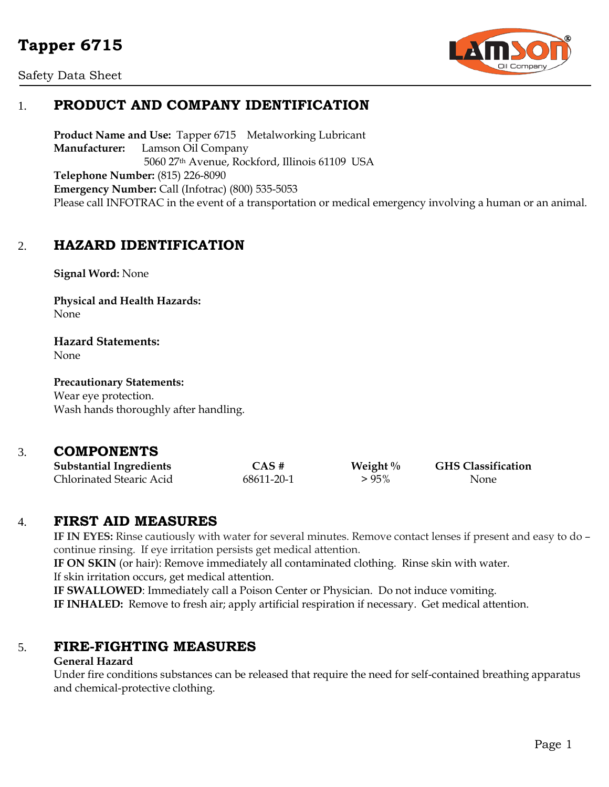# **Tapper 6715**

Safety Data Sheet



# 1. **PRODUCT AND COMPANY IDENTIFICATION**

**Product Name and Use:** Tapper 6715 Metalworking Lubricant **Manufacturer:** Lamson Oil Company 5060 27th Avenue, Rockford, Illinois 61109 USA **Telephone Number:** (815) 226-8090 **Emergency Number:** Call (Infotrac) (800) 535-5053 Please call INFOTRAC in the event of a transportation or medical emergency involving a human or an animal.

# 2. **HAZARD IDENTIFICATION**

**Signal Word:** None

**Physical and Health Hazards:** None

**Hazard Statements:** None

**Precautionary Statements:** Wear eye protection. Wash hands thoroughly after handling.

### 3. **COMPONENTS**

| <b>Substantial Ingredients</b> | CAS #      | Weight $\%$ | <b>GHS Classification</b> |
|--------------------------------|------------|-------------|---------------------------|
| Chlorinated Stearic Acid       | 68611-20-1 | $>95\%$     | None                      |

## 4. **FIRST AID MEASURES**

**IF IN EYES:** Rinse cautiously with water for several minutes. Remove contact lenses if present and easy to do – continue rinsing. If eye irritation persists get medical attention. **IF ON SKIN** (or hair): Remove immediately all contaminated clothing. Rinse skin with water. If skin irritation occurs, get medical attention.

**IF SWALLOWED**: Immediately call a Poison Center or Physician. Do not induce vomiting.

**IF INHALED:** Remove to fresh air; apply artificial respiration if necessary. Get medical attention.

## 5. **FIRE-FIGHTING MEASURES**

#### **General Hazard**

Under fire conditions substances can be released that require the need for self-contained breathing apparatus and chemical-protective clothing.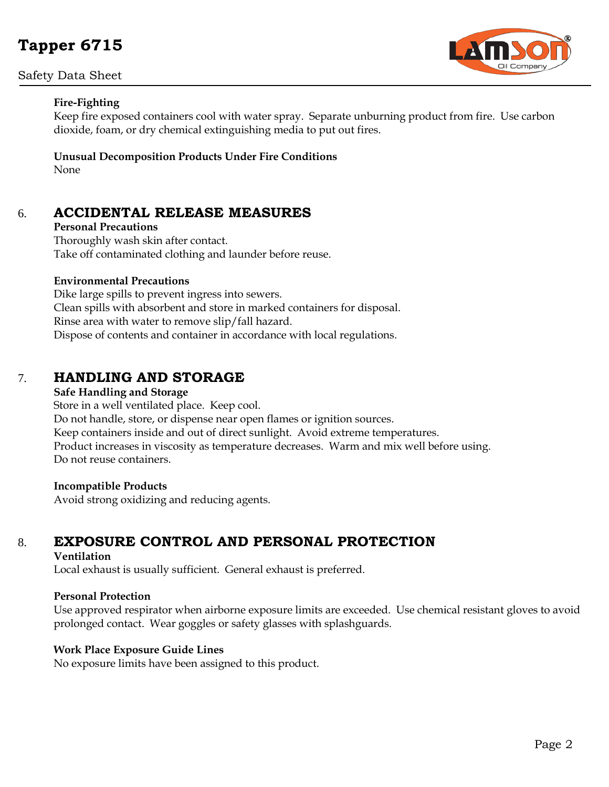# **Tapper 6715**

#### Safety Data Sheet



#### **Fire-Fighting**

Keep fire exposed containers cool with water spray. Separate unburning product from fire. Use carbon dioxide, foam, or dry chemical extinguishing media to put out fires.

#### **Unusual Decomposition Products Under Fire Conditions** None

## 6. **ACCIDENTAL RELEASE MEASURES**

**Personal Precautions** Thoroughly wash skin after contact. Take off contaminated clothing and launder before reuse.

#### **Environmental Precautions**

Dike large spills to prevent ingress into sewers. Clean spills with absorbent and store in marked containers for disposal. Rinse area with water to remove slip/fall hazard. Dispose of contents and container in accordance with local regulations.

# 7. **HANDLING AND STORAGE**

#### **Safe Handling and Storage**

Store in a well ventilated place. Keep cool. Do not handle, store, or dispense near open flames or ignition sources. Keep containers inside and out of direct sunlight. Avoid extreme temperatures. Product increases in viscosity as temperature decreases. Warm and mix well before using. Do not reuse containers.

#### **Incompatible Products**

Avoid strong oxidizing and reducing agents.

# 8. **EXPOSURE CONTROL AND PERSONAL PROTECTION**

#### **Ventilation**

Local exhaust is usually sufficient. General exhaust is preferred.

#### **Personal Protection**

Use approved respirator when airborne exposure limits are exceeded. Use chemical resistant gloves to avoid prolonged contact. Wear goggles or safety glasses with splashguards.

#### **Work Place Exposure Guide Lines**

No exposure limits have been assigned to this product.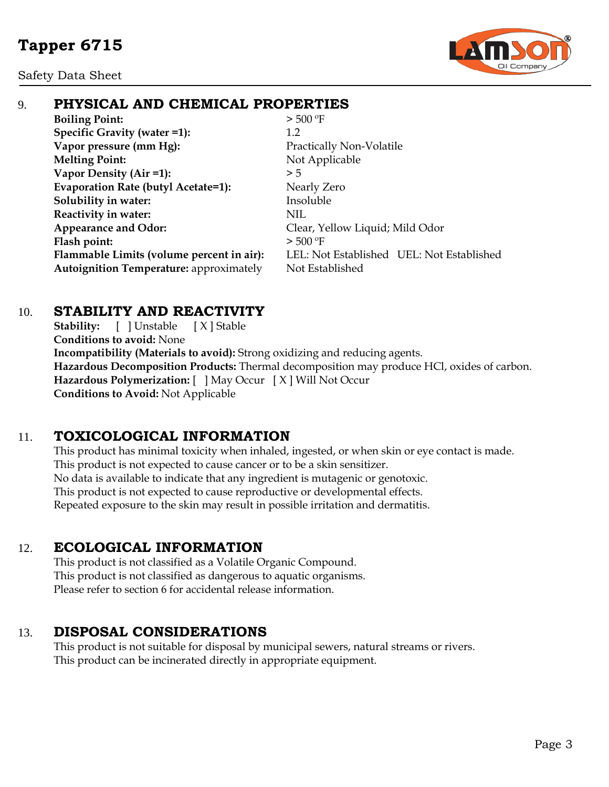Safety Data Sheet



# 9. **PHYSICAL AND CHEMICAL PROPERTIES**

**Boiling Point:**  $> 500 °F$ **Specific Gravity (water =1):** 1.2 **Vapor pressure (mm Hg):** Practically Non-Volatile **Melting Point:** Not Applicable **Vapor Density (Air =1):**  $> 5$ **Evaporation Rate (butyl Acetate=1):** Nearly Zero **Solubility** in water: Insoluble **Reactivity in water:** NIL Appearance and Odor: Clear, Yellow Liquid; Mild Odor Flash point:  $>500 °F$ Autoignition Temperature: approximately Not Established

**Flammable Limits (volume percent in air):** LEL: Not Established UEL: Not Established

# 10. **STABILITY AND REACTIVITY**

Stability: [ ] Unstable [ X ] Stable **Conditions to avoid:** None **Incompatibility (Materials to avoid):** Strong oxidizing and reducing agents. **Hazardous Decomposition Products:** Thermal decomposition may produce HCl, oxides of carbon. **Hazardous Polymerization:** [ ] May Occur [ X ] Will Not Occur **Conditions to Avoid:** Not Applicable

# 11. **TOXICOLOGICAL INFORMATION**

This product has minimal toxicity when inhaled, ingested, or when skin or eye contact is made. This product is not expected to cause cancer or to be a skin sensitizer. No data is available to indicate that any ingredient is mutagenic or genotoxic. This product is not expected to cause reproductive or developmental effects. Repeated exposure to the skin may result in possible irritation and dermatitis.

# 12. **ECOLOGICAL INFORMATION**

This product is not classified as a Volatile Organic Compound. This product is not classified as dangerous to aquatic organisms. Please refer to section 6 for accidental release information.

# 13. **DISPOSAL CONSIDERATIONS**

This product is not suitable for disposal by municipal sewers, natural streams or rivers. This product can be incinerated directly in appropriate equipment.